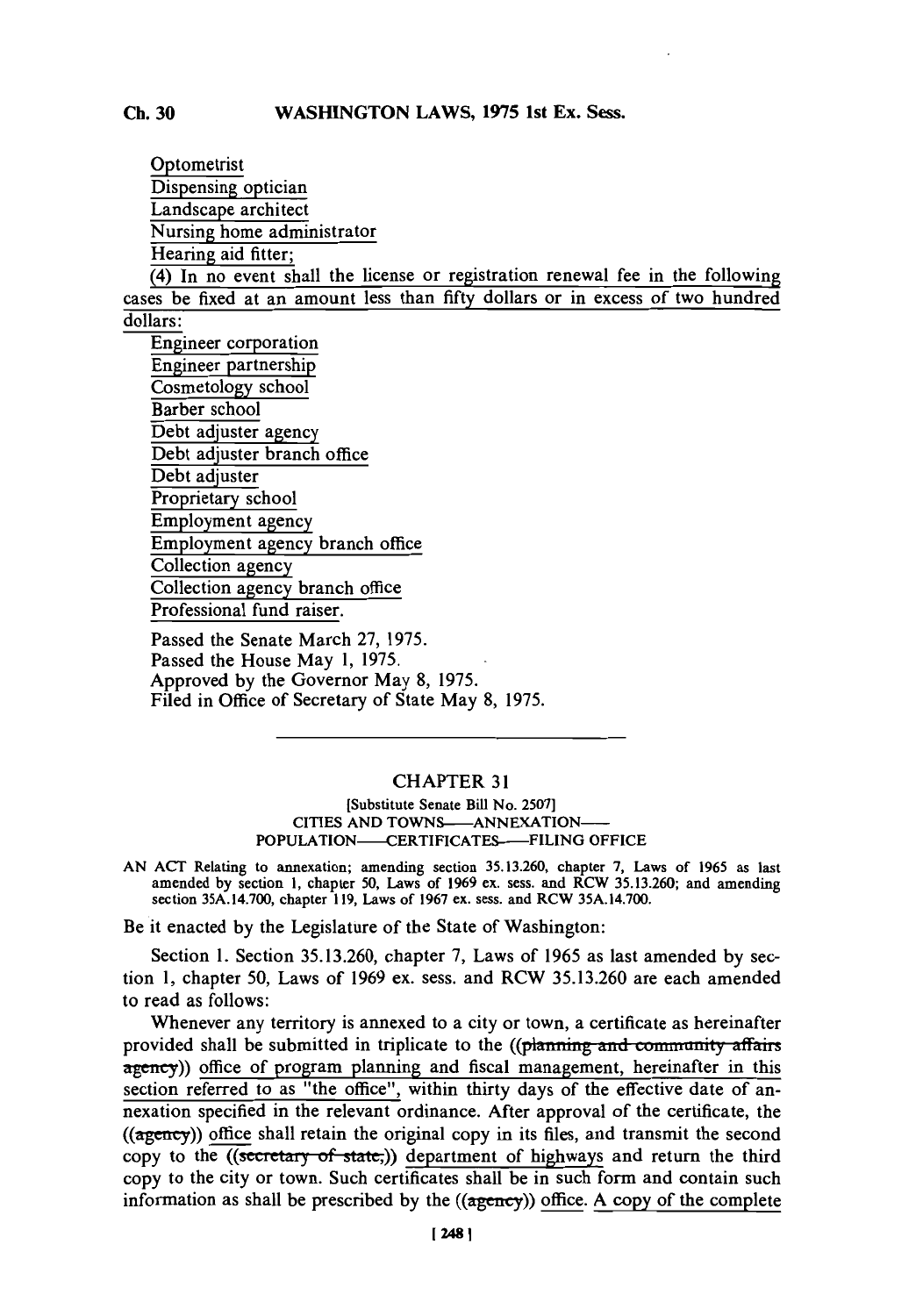Optometrist Dispensing optician Landscape architect Nursing home administrator Hearing aid fitter; (4) In no event shall the license or registration renewal fee in the following cases be fixed at an amount less than fifty dollars or in excess of two hundred dollars: Engineer corporation

Engineer partnership Cosmetology school Barber school Debt adjuster agency Debt adjuster branch office Debt adjuster Proprietary school Employment agency Employment agency branch office Collection agency Collection agency branch office Professional fund raiser.

Passed the Senate March **27,** *1975.* Passed the House May **1, 1975.** Approved **by** the Governor May **8, 1975.** Filed in Office of Secretary of State May **8, 1975.**

## CHAPTER **31**

**[Substitute Senate Bill No. 2507] CITIES AND TOWNS-ANNEXATION-POPULATION——CERTIFICATES——FILING OFFICE** 

**AN ACT Relating to annexation; amending section 35.13.260, chapter 7, Laws of 1965 as last amended by section 1, chapter 50, Laws of 1969 ex. sess. and RCW 35.13.260; and amending section 35A.14.700, chapter 119, Laws of 1967 ex. sess. and RCW 35A.14.700.**

Be it enacted **by** the Legislature of the State of Washington:

Section **1.** Section **35.13.260,** chapter **7,** Laws of **1965** as last amended **by** section **1,** chapter **50,** Laws of **1969** ex. sess. and RCW **35.13.260** are each amended to read as follows:

Whenever any territory is annexed to a city or town, a certificate as hereinafter provided shall be submitted in triplicate to the **((planning and community affairs**) agency)) office of program planning and fiscal management, hereinafter in this section referred to as "the office", within thirty days of the effective date of annexation specified in the relevant ordinance. After approval of the certificate, the  $((a<sub>gency</sub>))$  office shall retain the original copy in its files, and transmit the second copy to the  $($ (secretary of state,)) department of highways and return the third **copy** to the city or town. Such certificates shall be in such form and contain such information as shall be prescribed **by** the ((agency)) office. **A** copy of the complete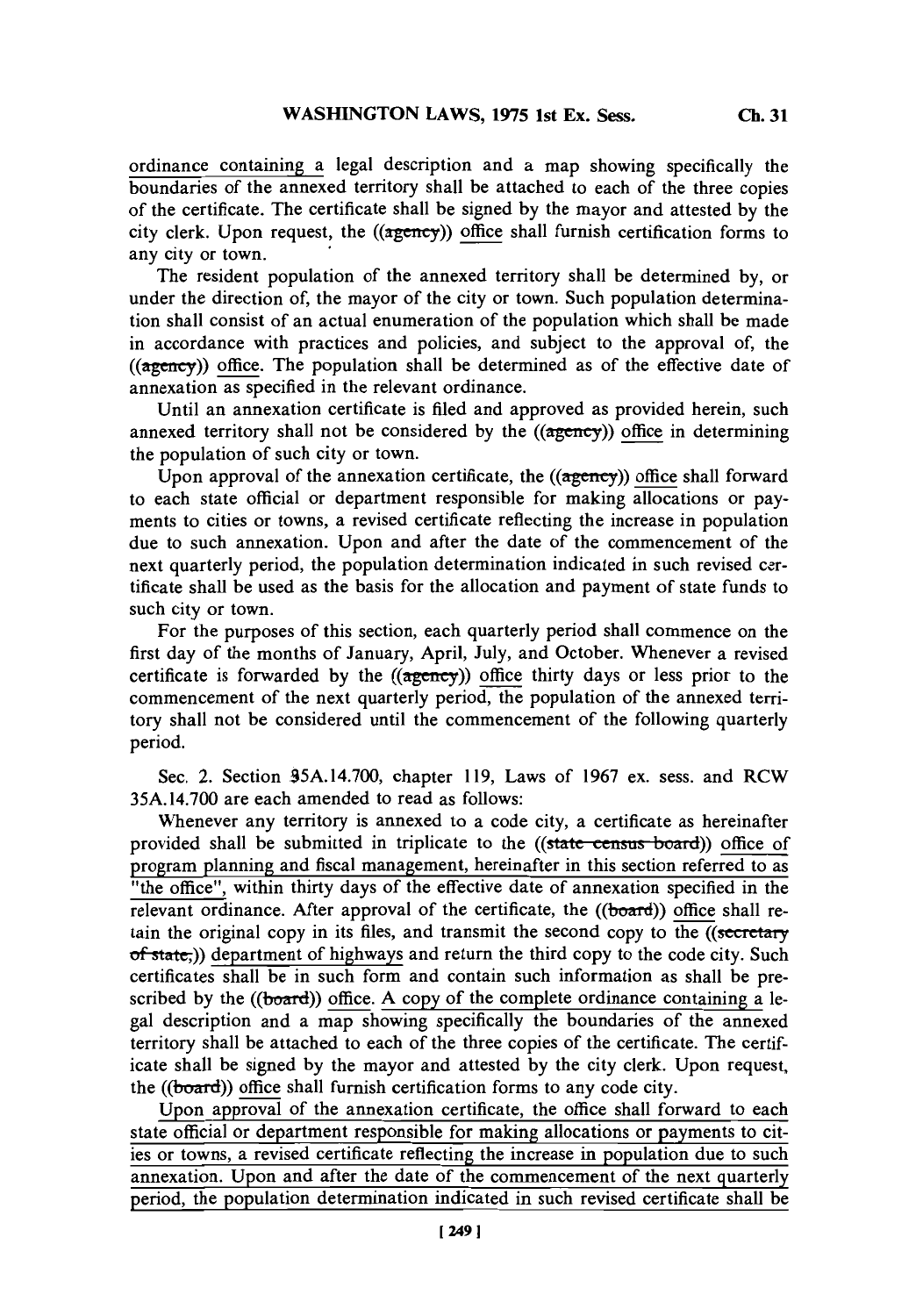ordinance containing alegal description and a map showing specifically the boundaries of the annexed territory shall be attached to each of the three copies of the certificate. The certificate shall be signed **by** the mayor and attested **by** the city clerk. Upon request, the ((agency)) office shall furnish certification forms to any city or town.

The resident population of the annexed territory shall be determined **by,** or under the direction of, the mayor of the city or town. Such population determination shall consist of an actual enumeration of the population which shall be made in accordance with practices and policies, and subject to the approval of, the ((agency)) office. The population shall be determined as of the effective date of annexation as specified in the relevant ordinance.

Until an annexation certificate is filed and approved as provided herein, such annexed territory shall not be considered **by** the ((agency)) office in determining the population of such city or town.

Upon approval of the annexation certificate, the  $((\text{agency}))$  office shall forward to each state official or department responsible for making allocations or payments to cities or towns, a revised certificate reflecting the increase in population due to such annexation. Upon and after the date of the commencement of the next quarterly period, the population determination indicated in such revised certificate shall be used as the basis for the allocation and payment of state funds to such city or town.

For the purposes of this section, each quarterly period shall commence on the first day of the months of January, April, July, and October. Whenever a revised certificate is forwarded by the ((agency)) office thirty days or less prior to the commencement of the next quarterly period, the population of the annexed territory shall not be considered until the commencement of the following quarterly period.

Sec. 2. Section *95A.14.700,* chapter **119,** Laws of **1967** ex. sess. and RCW *35A.* **14.700** are each amended to read as follows:

Whenever any territory is annexed to a code city, a certificate as hereinafter provided shall be submitted in triplicate to the ((state census board)) office of program planning and fiscal management, hereinafter in this section referred to as "the office", within thirty days of the effective date of annexation specified in the relevant ordinance. After approval of the certificate, the  $((*board*))$  office shall retain the original copy in its files, and transmit the second copy to the  $($ secretary of state;)) department of highways and return the third copy to the code city. Such certificates shall be in such form and contain such information as shall be prescribed **by** the ((board)) office. **A** copy of the complete ordinance containing a legal description and a map showing specifically the boundaries of the annexed territory shall be attached to each of the three copies of the certificate. The certificate shall be signed **by** the mayor and attested **by** the city clerk. Upon request, the ((board)) office shall furnish certification forms to any code city.

Upon approval of the annexation certificate, the office shall forward to each state official or department responsible for making allocations or payments to cities or towns, a revised certificate reflecting the increase in population due to such annexation. Upon and after the date of the commencement of the next quarterly period, the population determination indicated in such revised certificate shall be